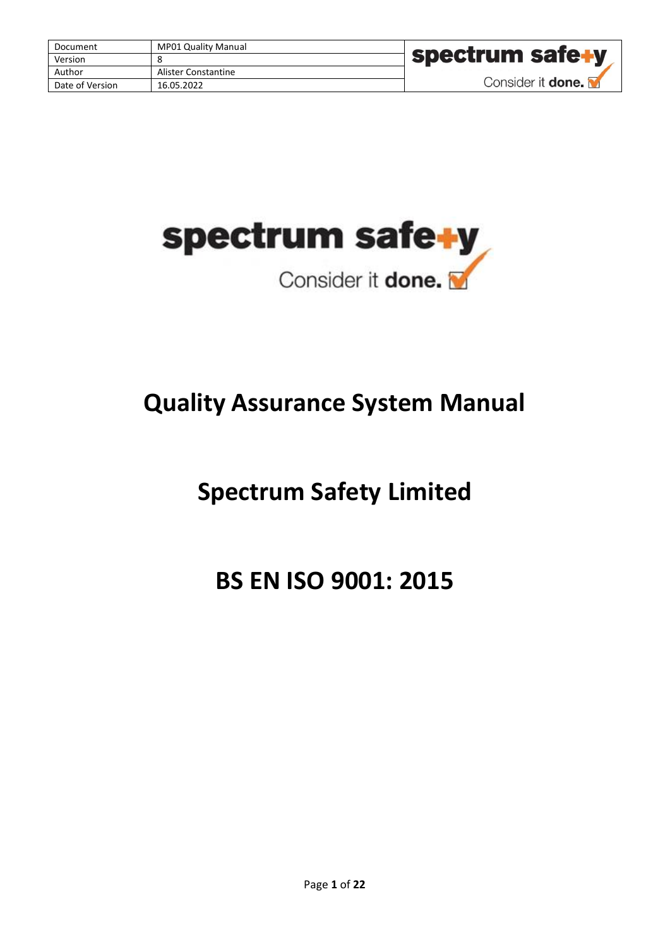| Document        | <b>MP01 Quality Manual</b> |                          |
|-----------------|----------------------------|--------------------------|
| Version         |                            | <b>Spectrum safe+</b>    |
| Author          | Alister Constantine        |                          |
| Date of Version | 16.05.2022                 | Consider it <b>done.</b> |



# **Quality Assurance System Manual**

# **Spectrum Safety Limited**

# **BS EN ISO 9001: 2015**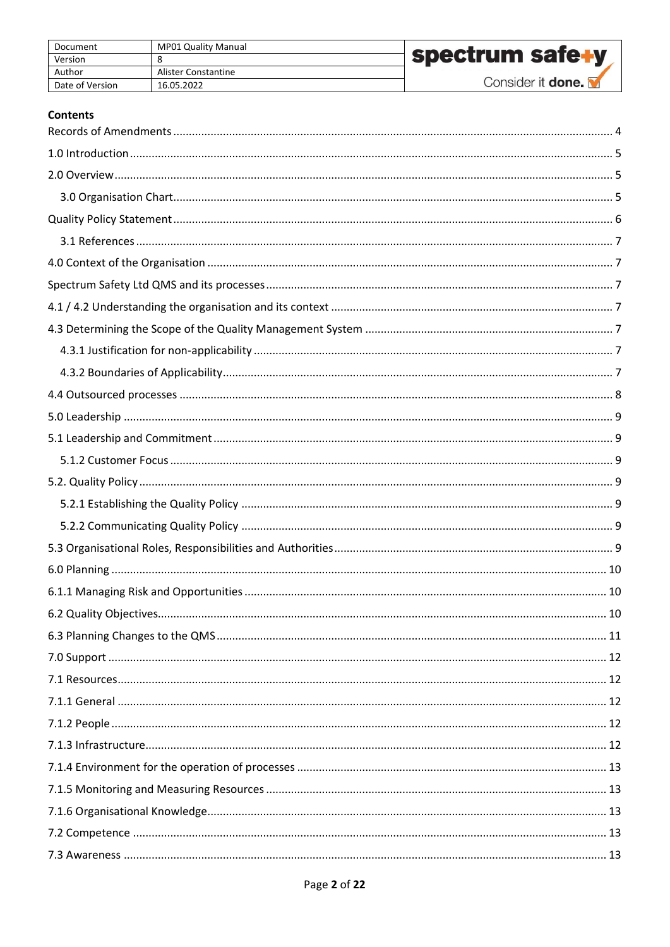| Document        | <b>MP01 Quality Manual</b> |                          |
|-----------------|----------------------------|--------------------------|
| Version         |                            | spectrum safe+y          |
| Author          | Alister Constantine        |                          |
| Date of Version | 16.05.2022                 | Consider it <b>done.</b> |

## **Contents**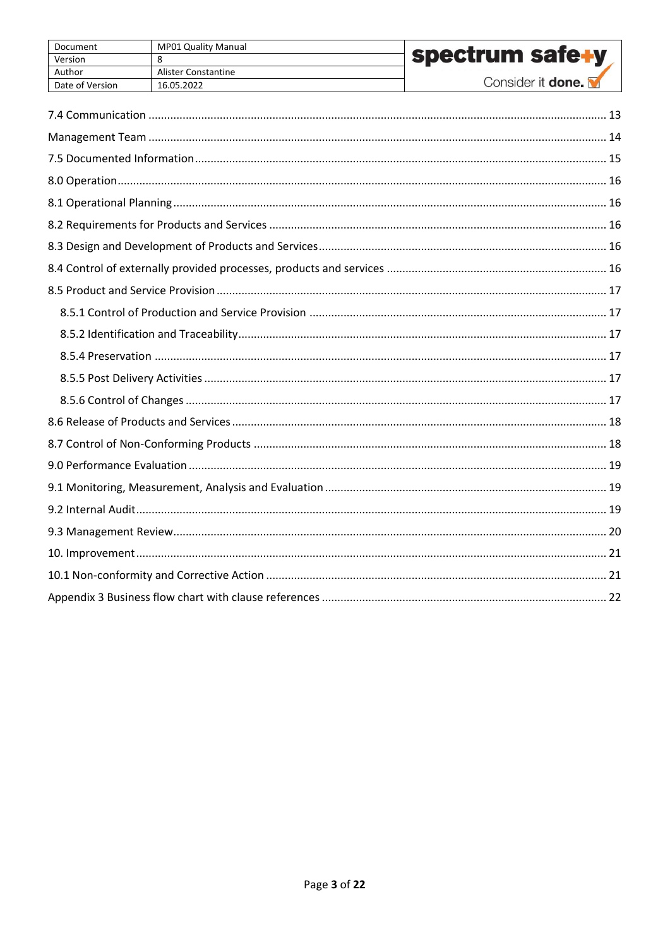| Document        | <b>MP01 Quality Manual</b> |                          |
|-----------------|----------------------------|--------------------------|
| Version         |                            | <b>spectrum safe+y</b>   |
| Author          | Alister Constantine        |                          |
| Date of Version | 16.05.2022                 | Consider it <b>done.</b> |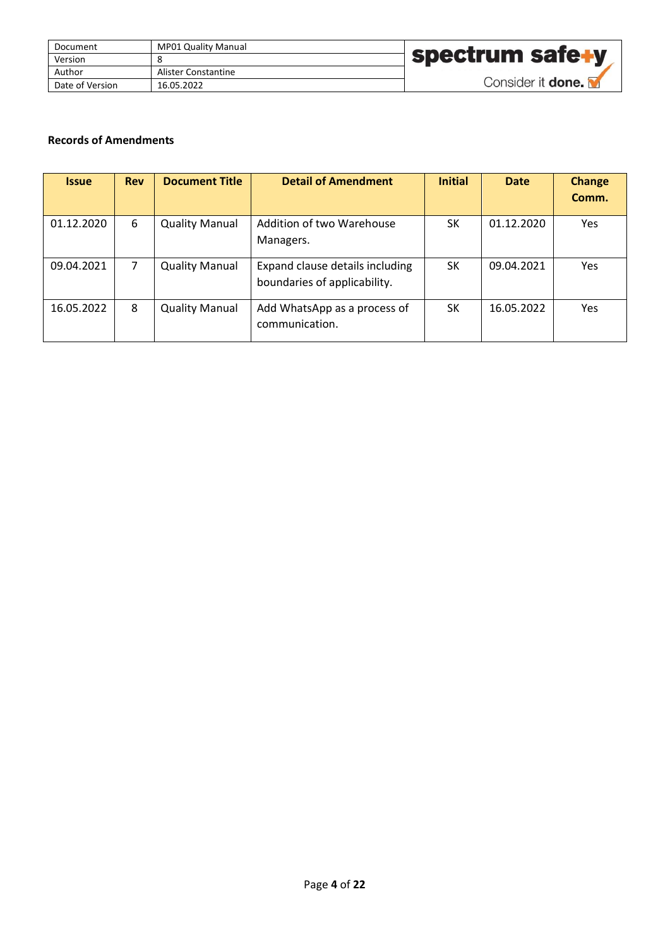| Document        | MP01 Quality Manual |                          |
|-----------------|---------------------|--------------------------|
| Version         |                     | spectrum safe+y          |
| Author          | Alister Constantine |                          |
| Date of Version | 16.05.2022          | Consider it <b>done.</b> |

## <span id="page-3-0"></span>**Records of Amendments**

| <b>Issue</b> | <b>Rev</b>     | <b>Document Title</b> | <b>Detail of Amendment</b>                                      | <b>Initial</b> | <b>Date</b> | <b>Change</b><br>Comm. |
|--------------|----------------|-----------------------|-----------------------------------------------------------------|----------------|-------------|------------------------|
| 01.12.2020   | 6              | <b>Quality Manual</b> | Addition of two Warehouse<br>Managers.                          | <b>SK</b>      | 01.12.2020  | Yes                    |
| 09.04.2021   | $\overline{7}$ | <b>Quality Manual</b> | Expand clause details including<br>boundaries of applicability. | SK             | 09.04.2021  | Yes                    |
| 16.05.2022   | 8              | <b>Quality Manual</b> | Add WhatsApp as a process of<br>communication.                  | SK             | 16.05.2022  | Yes                    |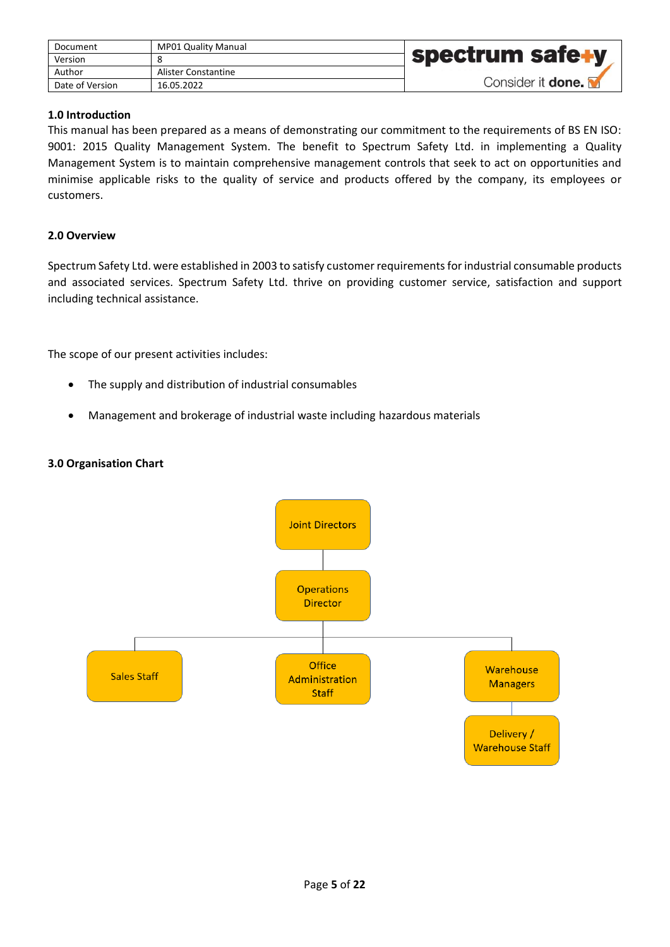| Document        | <b>MP01 Quality Manual</b> |                          |
|-----------------|----------------------------|--------------------------|
| Version         |                            | spectrum safe+y          |
| Author          | Alister Constantine        |                          |
| Date of Version | 16.05.2022                 | Consider it <b>done.</b> |

## <span id="page-4-0"></span>**1.0 Introduction**

This manual has been prepared as a means of demonstrating our commitment to the requirements of BS EN ISO: 9001: 2015 Quality Management System. The benefit to Spectrum Safety Ltd. in implementing a Quality Management System is to maintain comprehensive management controls that seek to act on opportunities and minimise applicable risks to the quality of service and products offered by the company, its employees or customers.

## <span id="page-4-1"></span>**2.0 Overview**

Spectrum Safety Ltd. were established in 2003 to satisfy customer requirements for industrial consumable products and associated services. Spectrum Safety Ltd. thrive on providing customer service, satisfaction and support including technical assistance.

The scope of our present activities includes:

- The supply and distribution of industrial consumables
- Management and brokerage of industrial waste including hazardous materials

#### <span id="page-4-2"></span>**3.0 Organisation Chart**

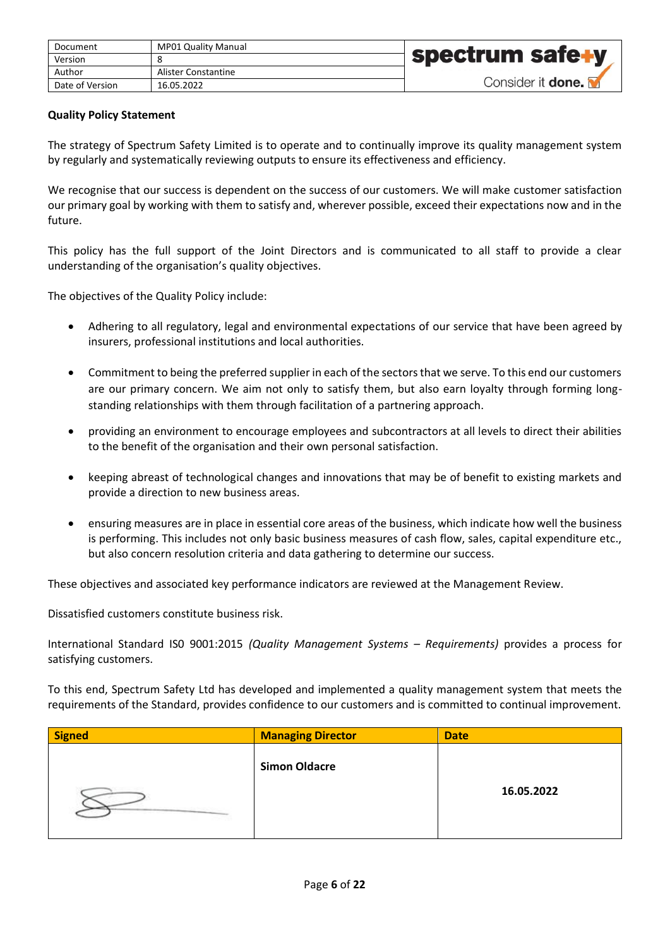| Document        | <b>MP01 Quality Manual</b> |                   |
|-----------------|----------------------------|-------------------|
| Version         |                            | spectrum safe+y   |
| Author          | Alister Constantine        |                   |
| Date of Version | 16.05.2022                 | Consider it done. |

## <span id="page-5-0"></span>**Quality Policy Statement**

The strategy of Spectrum Safety Limited is to operate and to continually improve its quality management system by regularly and systematically reviewing outputs to ensure its effectiveness and efficiency.

We recognise that our success is dependent on the success of our customers. We will make customer satisfaction our primary goal by working with them to satisfy and, wherever possible, exceed their expectations now and in the future.

This policy has the full support of the Joint Directors and is communicated to all staff to provide a clear understanding of the organisation's quality objectives.

The objectives of the Quality Policy include:

- Adhering to all regulatory, legal and environmental expectations of our service that have been agreed by insurers, professional institutions and local authorities.
- Commitment to being the preferred supplier in each of the sectors that we serve. To this end our customers are our primary concern. We aim not only to satisfy them, but also earn loyalty through forming longstanding relationships with them through facilitation of a partnering approach.
- providing an environment to encourage employees and subcontractors at all levels to direct their abilities to the benefit of the organisation and their own personal satisfaction.
- keeping abreast of technological changes and innovations that may be of benefit to existing markets and provide a direction to new business areas.
- ensuring measures are in place in essential core areas of the business, which indicate how well the business is performing. This includes not only basic business measures of cash flow, sales, capital expenditure etc., but also concern resolution criteria and data gathering to determine our success.

These objectives and associated key performance indicators are reviewed at the Management Review.

Dissatisfied customers constitute business risk.

International Standard IS0 9001:2015 *(Quality Management Systems – Requirements)* provides a process for satisfying customers.

To this end, Spectrum Safety Ltd has developed and implemented a quality management system that meets the requirements of the Standard, provides confidence to our customers and is committed to continual improvement.

| Signed | <b>Managing Director</b> | <b>Date</b> |
|--------|--------------------------|-------------|
|        | <b>Simon Oldacre</b>     |             |
|        |                          | 16.05.2022  |
|        |                          |             |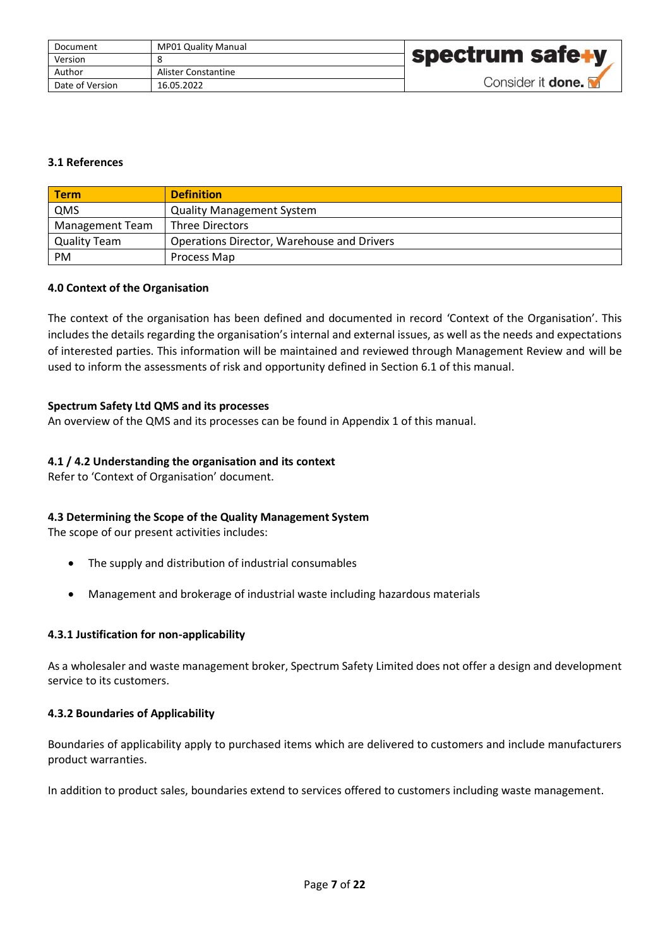| Document        | <b>MP01 Quality Manual</b> |                          |
|-----------------|----------------------------|--------------------------|
| Version         |                            | <b>spectrum safe+y</b>   |
| Author          | Alister Constantine        |                          |
| Date of Version | 16.05.2022                 | Consider it <b>done.</b> |

# <span id="page-6-0"></span>**3.1 References**

| <b>Term</b>            | <b>Definition</b>                          |
|------------------------|--------------------------------------------|
| QMS                    | <b>Quality Management System</b>           |
| <b>Management Team</b> | Three Directors                            |
| Quality Team           | Operations Director, Warehouse and Drivers |
| <b>PM</b>              | Process Map                                |

#### <span id="page-6-1"></span>**4.0 Context of the Organisation**

The context of the organisation has been defined and documented in record 'Context of the Organisation'. This includes the details regarding the organisation's internal and external issues, as well as the needs and expectations of interested parties. This information will be maintained and reviewed through Management Review and will be used to inform the assessments of risk and opportunity defined in Section 6.1 of this manual.

#### <span id="page-6-2"></span>**Spectrum Safety Ltd QMS and its processes**

An overview of the QMS and its processes can be found in Appendix 1 of this manual.

#### <span id="page-6-3"></span>**4.1 / 4.2 Understanding the organisation and its context**

Refer to 'Context of Organisation' document.

#### <span id="page-6-4"></span>**4.3 Determining the Scope of the Quality Management System**

The scope of our present activities includes:

- The supply and distribution of industrial consumables
- Management and brokerage of industrial waste including hazardous materials

#### <span id="page-6-5"></span>**4.3.1 Justification for non-applicability**

As a wholesaler and waste management broker, Spectrum Safety Limited does not offer a design and development service to its customers.

#### <span id="page-6-6"></span>**4.3.2 Boundaries of Applicability**

Boundaries of applicability apply to purchased items which are delivered to customers and include manufacturers product warranties.

In addition to product sales, boundaries extend to services offered to customers including waste management.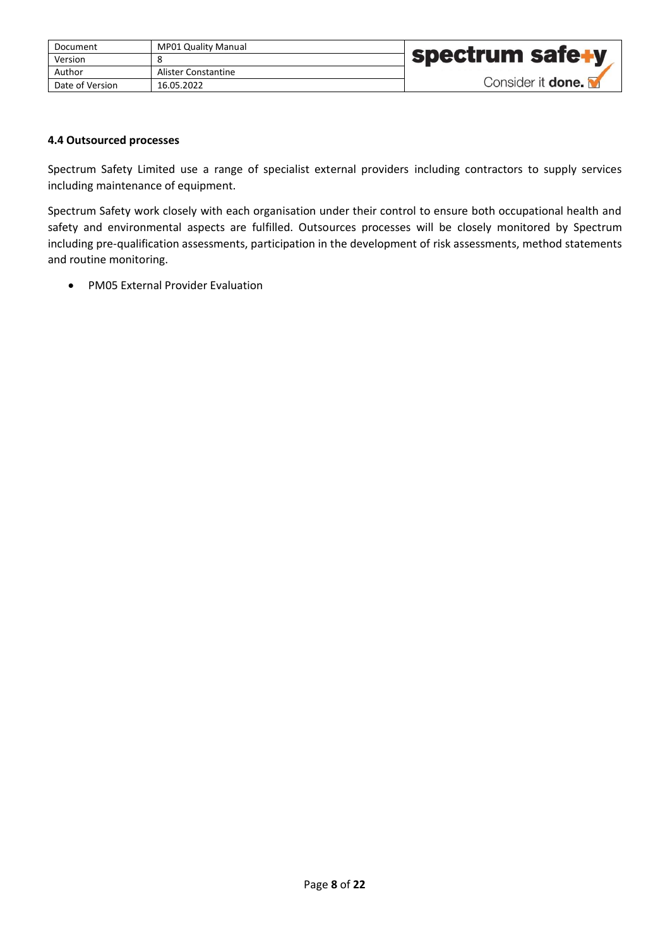| Document        | <b>MP01 Quality Manual</b> |                          |
|-----------------|----------------------------|--------------------------|
| Version         |                            | spectrum safe+y          |
| Author          | Alister Constantine        |                          |
| Date of Version | 16.05.2022                 | Consider it <b>done.</b> |

## <span id="page-7-0"></span>**4.4 Outsourced processes**

Spectrum Safety Limited use a range of specialist external providers including contractors to supply services including maintenance of equipment.

Spectrum Safety work closely with each organisation under their control to ensure both occupational health and safety and environmental aspects are fulfilled. Outsources processes will be closely monitored by Spectrum including pre-qualification assessments, participation in the development of risk assessments, method statements and routine monitoring.

• PM05 External Provider Evaluation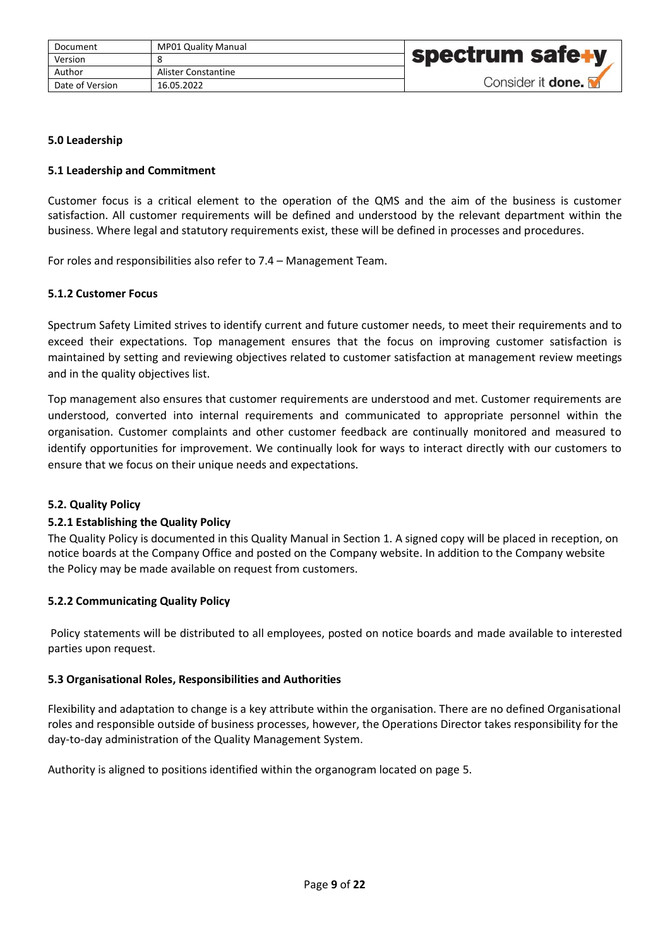| Document        | <b>MP01 Quality Manual</b> |                          |
|-----------------|----------------------------|--------------------------|
| Version         |                            | <b>Spectrum safe+y</b>   |
| Author          | Alister Constantine        |                          |
| Date of Version | 16.05.2022                 | Consider it <b>done.</b> |

## <span id="page-8-0"></span>**5.0 Leadership**

## <span id="page-8-1"></span>**5.1 Leadership and Commitment**

Customer focus is a critical element to the operation of the QMS and the aim of the business is customer satisfaction. All customer requirements will be defined and understood by the relevant department within the business. Where legal and statutory requirements exist, these will be defined in processes and procedures.

For roles and responsibilities also refer to 7.4 – Management Team.

## <span id="page-8-2"></span>**5.1.2 Customer Focus**

Spectrum Safety Limited strives to identify current and future customer needs, to meet their requirements and to exceed their expectations. Top management ensures that the focus on improving customer satisfaction is maintained by setting and reviewing objectives related to customer satisfaction at management review meetings and in the quality objectives list.

Top management also ensures that customer requirements are understood and met. Customer requirements are understood, converted into internal requirements and communicated to appropriate personnel within the organisation. Customer complaints and other customer feedback are continually monitored and measured to identify opportunities for improvement. We continually look for ways to interact directly with our customers to ensure that we focus on their unique needs and expectations.

#### <span id="page-8-3"></span>**5.2. Quality Policy**

#### <span id="page-8-4"></span>**5.2.1 Establishing the Quality Policy**

The Quality Policy is documented in this Quality Manual in Section 1. A signed copy will be placed in reception, on notice boards at the Company Office and posted on the Company website. In addition to the Company website the Policy may be made available on request from customers.

#### <span id="page-8-5"></span>**5.2.2 Communicating Quality Policy**

Policy statements will be distributed to all employees, posted on notice boards and made available to interested parties upon request.

#### <span id="page-8-6"></span>**5.3 Organisational Roles, Responsibilities and Authorities**

Flexibility and adaptation to change is a key attribute within the organisation. There are no defined Organisational roles and responsible outside of business processes, however, the Operations Director takes responsibility for the day-to-day administration of the Quality Management System.

Authority is aligned to positions identified within the organogram located on page 5.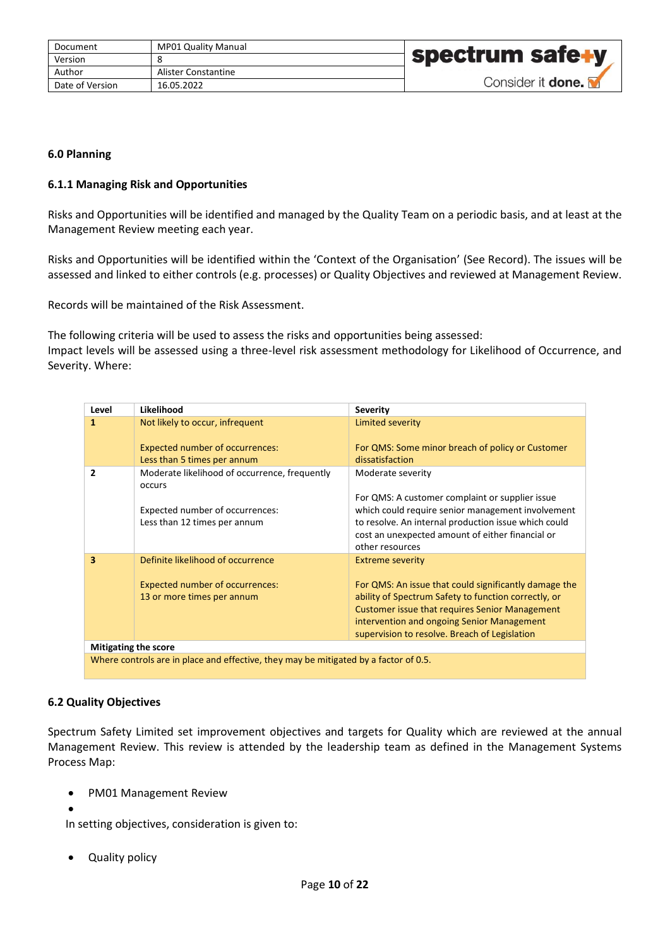| Document        | <b>MP01 Quality Manual</b> |                          |
|-----------------|----------------------------|--------------------------|
| Version         |                            | <b>spectrum safe+y</b>   |
| Author          | Alister Constantine        |                          |
| Date of Version | 16.05.2022                 | Consider it <b>done.</b> |

## <span id="page-9-0"></span>**6.0 Planning**

## <span id="page-9-1"></span>**6.1.1 Managing Risk and Opportunities**

Risks and Opportunities will be identified and managed by the Quality Team on a periodic basis, and at least at the Management Review meeting each year.

Risks and Opportunities will be identified within the 'Context of the Organisation' (See Record). The issues will be assessed and linked to either controls (e.g. processes) or Quality Objectives and reviewed at Management Review.

Records will be maintained of the Risk Assessment.

The following criteria will be used to assess the risks and opportunities being assessed: Impact levels will be assessed using a three-level risk assessment methodology for Likelihood of Occurrence, and Severity. Where:

| Level                       | Likelihood                                                                           | <b>Severity</b>                                                                                                                                                                                                                                                       |
|-----------------------------|--------------------------------------------------------------------------------------|-----------------------------------------------------------------------------------------------------------------------------------------------------------------------------------------------------------------------------------------------------------------------|
| 1                           | Not likely to occur, infrequent                                                      | Limited severity                                                                                                                                                                                                                                                      |
|                             | <b>Expected number of occurrences:</b>                                               | For QMS: Some minor breach of policy or Customer                                                                                                                                                                                                                      |
|                             | Less than 5 times per annum                                                          | dissatisfaction                                                                                                                                                                                                                                                       |
| 2                           | Moderate likelihood of occurrence, frequently<br>occurs                              | Moderate severity                                                                                                                                                                                                                                                     |
|                             |                                                                                      | For QMS: A customer complaint or supplier issue                                                                                                                                                                                                                       |
|                             | Expected number of occurrences:                                                      | which could require senior management involvement                                                                                                                                                                                                                     |
|                             | Less than 12 times per annum                                                         | to resolve. An internal production issue which could                                                                                                                                                                                                                  |
|                             |                                                                                      | cost an unexpected amount of either financial or<br>other resources                                                                                                                                                                                                   |
| 3                           | Definite likelihood of occurrence                                                    | <b>Extreme severity</b>                                                                                                                                                                                                                                               |
|                             | <b>Expected number of occurrences:</b><br>13 or more times per annum                 | For QMS: An issue that could significantly damage the<br>ability of Spectrum Safety to function correctly, or<br><b>Customer issue that requires Senior Management</b><br>intervention and ongoing Senior Management<br>supervision to resolve. Breach of Legislation |
| <b>Mitigating the score</b> |                                                                                      |                                                                                                                                                                                                                                                                       |
|                             | Where controls are in place and effective, they may be mitigated by a factor of 0.5. |                                                                                                                                                                                                                                                                       |

#### <span id="page-9-2"></span>**6.2 Quality Objectives**

Spectrum Safety Limited set improvement objectives and targets for Quality which are reviewed at the annual Management Review. This review is attended by the leadership team as defined in the Management Systems Process Map:

• PM01 Management Review

•

In setting objectives, consideration is given to:

• Quality policy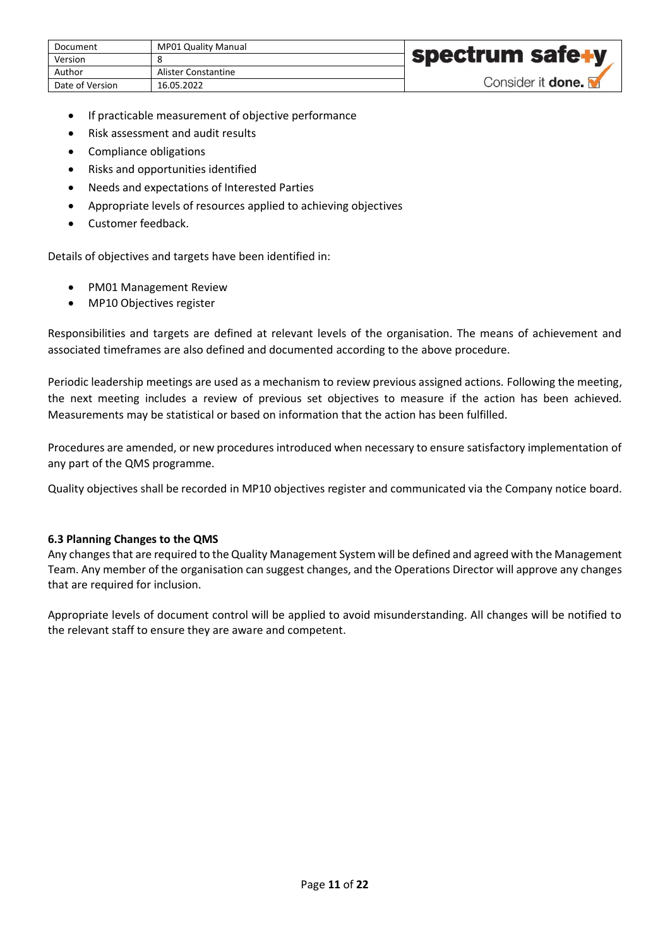| Document        | <b>MP01 Quality Manual</b> |                          |
|-----------------|----------------------------|--------------------------|
| Version         |                            | spectrum safe+y          |
| Author          | Alister Constantine        |                          |
| Date of Version | 16.05.2022                 | Consider it <b>done.</b> |

- If practicable measurement of objective performance
- Risk assessment and audit results
- Compliance obligations
- Risks and opportunities identified
- Needs and expectations of Interested Parties
- Appropriate levels of resources applied to achieving objectives
- Customer feedback.

Details of objectives and targets have been identified in:

- PM01 Management Review
- MP10 Objectives register

Responsibilities and targets are defined at relevant levels of the organisation. The means of achievement and associated timeframes are also defined and documented according to the above procedure.

Periodic leadership meetings are used as a mechanism to review previous assigned actions. Following the meeting, the next meeting includes a review of previous set objectives to measure if the action has been achieved. Measurements may be statistical or based on information that the action has been fulfilled.

Procedures are amended, or new procedures introduced when necessary to ensure satisfactory implementation of any part of the QMS programme.

Quality objectives shall be recorded in MP10 objectives register and communicated via the Company notice board.

#### <span id="page-10-0"></span>**6.3 Planning Changes to the QMS**

Any changes that are required to the Quality Management System will be defined and agreed with the Management Team. Any member of the organisation can suggest changes, and the Operations Director will approve any changes that are required for inclusion.

Appropriate levels of document control will be applied to avoid misunderstanding. All changes will be notified to the relevant staff to ensure they are aware and competent.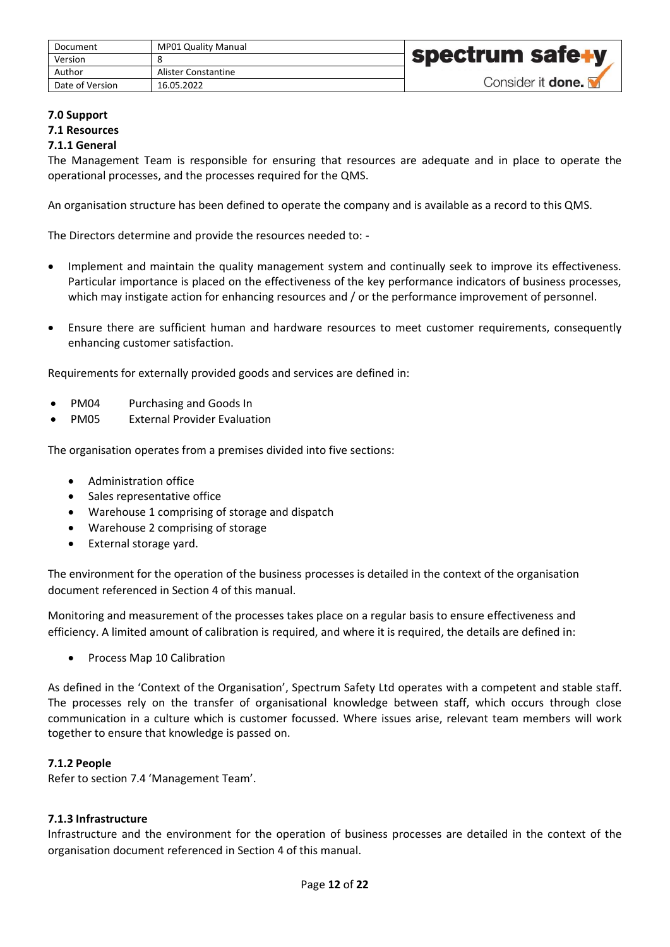| Document        | <b>MP01 Quality Manual</b> |                          |
|-----------------|----------------------------|--------------------------|
| Version         |                            | spectrum safe+y          |
| Author          | Alister Constantine        |                          |
| Date of Version | 16.05.2022                 | Consider it <b>done.</b> |

#### <span id="page-11-1"></span><span id="page-11-0"></span>**7.0 Support 7.1 Resources 7.1.1 General**

<span id="page-11-2"></span>The Management Team is responsible for ensuring that resources are adequate and in place to operate the operational processes, and the processes required for the QMS.

An organisation structure has been defined to operate the company and is available as a record to this QMS.

The Directors determine and provide the resources needed to: -

- Implement and maintain the quality management system and continually seek to improve its effectiveness. Particular importance is placed on the effectiveness of the key performance indicators of business processes, which may instigate action for enhancing resources and / or the performance improvement of personnel.
- Ensure there are sufficient human and hardware resources to meet customer requirements, consequently enhancing customer satisfaction.

Requirements for externally provided goods and services are defined in:

- PM04 Purchasing and Goods In
- PM05 External Provider Evaluation

The organisation operates from a premises divided into five sections:

- Administration office
- Sales representative office
- Warehouse 1 comprising of storage and dispatch
- Warehouse 2 comprising of storage
- External storage yard.

The environment for the operation of the business processes is detailed in the context of the organisation document referenced in Section 4 of this manual.

Monitoring and measurement of the processes takes place on a regular basis to ensure effectiveness and efficiency. A limited amount of calibration is required, and where it is required, the details are defined in:

• Process Map 10 Calibration

As defined in the 'Context of the Organisation', Spectrum Safety Ltd operates with a competent and stable staff. The processes rely on the transfer of organisational knowledge between staff, which occurs through close communication in a culture which is customer focussed. Where issues arise, relevant team members will work together to ensure that knowledge is passed on.

#### <span id="page-11-3"></span>**7.1.2 People**

Refer to section 7.4 'Management Team'.

## <span id="page-11-4"></span>**7.1.3 Infrastructure**

Infrastructure and the environment for the operation of business processes are detailed in the context of the organisation document referenced in Section 4 of this manual.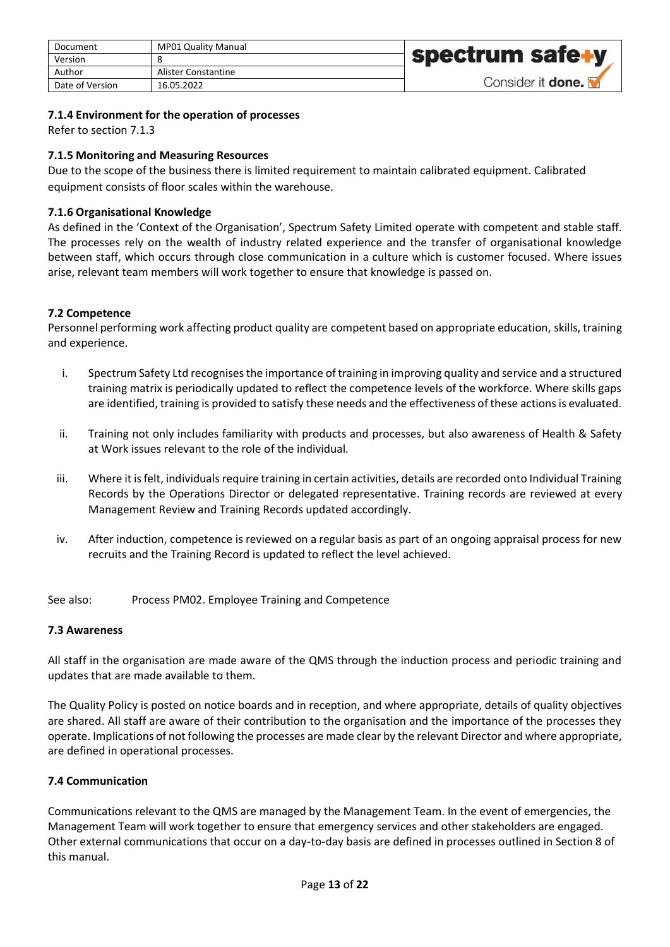| Document        | <b>MP01 Quality Manual</b> |                   |
|-----------------|----------------------------|-------------------|
| Version         |                            | spectrum safe+y   |
| Author          | Alister Constantine        |                   |
| Date of Version | 16.05.2022                 | Consider it done. |

## <span id="page-12-0"></span>**7.1.4 Environment for the operation of processes**

Refer to section 7.1.3

## <span id="page-12-1"></span>**7.1.5 Monitoring and Measuring Resources**

Due to the scope of the business there is limited requirement to maintain calibrated equipment. Calibrated equipment consists of floor scales within the warehouse.

## <span id="page-12-2"></span>**7.1.6 Organisational Knowledge**

As defined in the 'Context of the Organisation', Spectrum Safety Limited operate with competent and stable staff. The processes rely on the wealth of industry related experience and the transfer of organisational knowledge between staff, which occurs through close communication in a culture which is customer focused. Where issues arise, relevant team members will work together to ensure that knowledge is passed on.

#### <span id="page-12-3"></span>**7.2 Competence**

Personnel performing work affecting product quality are competent based on appropriate education, skills, training and experience.

- i. Spectrum Safety Ltd recognises the importance of training in improving quality and service and a structured training matrix is periodically updated to reflect the competence levels of the workforce. Where skills gaps are identified, training is provided to satisfy these needs and the effectiveness of these actions is evaluated.
- ii. Training not only includes familiarity with products and processes, but also awareness of Health & Safety at Work issues relevant to the role of the individual.
- iii. Where it is felt, individuals require training in certain activities, details are recorded onto Individual Training Records by the Operations Director or delegated representative. Training records are reviewed at every Management Review and Training Records updated accordingly.
- iv. After induction, competence is reviewed on a regular basis as part of an ongoing appraisal process for new recruits and the Training Record is updated to reflect the level achieved.

See also: Process PM02. Employee Training and Competence

#### <span id="page-12-4"></span>**7.3 Awareness**

All staff in the organisation are made aware of the QMS through the induction process and periodic training and updates that are made available to them.

The Quality Policy is posted on notice boards and in reception, and where appropriate, details of quality objectives are shared. All staff are aware of their contribution to the organisation and the importance of the processes they operate. Implications of not following the processes are made clear by the relevant Director and where appropriate, are defined in operational processes.

## <span id="page-12-5"></span>**7.4 Communication**

Communications relevant to the QMS are managed by the Management Team. In the event of emergencies, the Management Team will work together to ensure that emergency services and other stakeholders are engaged. Other external communications that occur on a day-to-day basis are defined in processes outlined in Section 8 of this manual.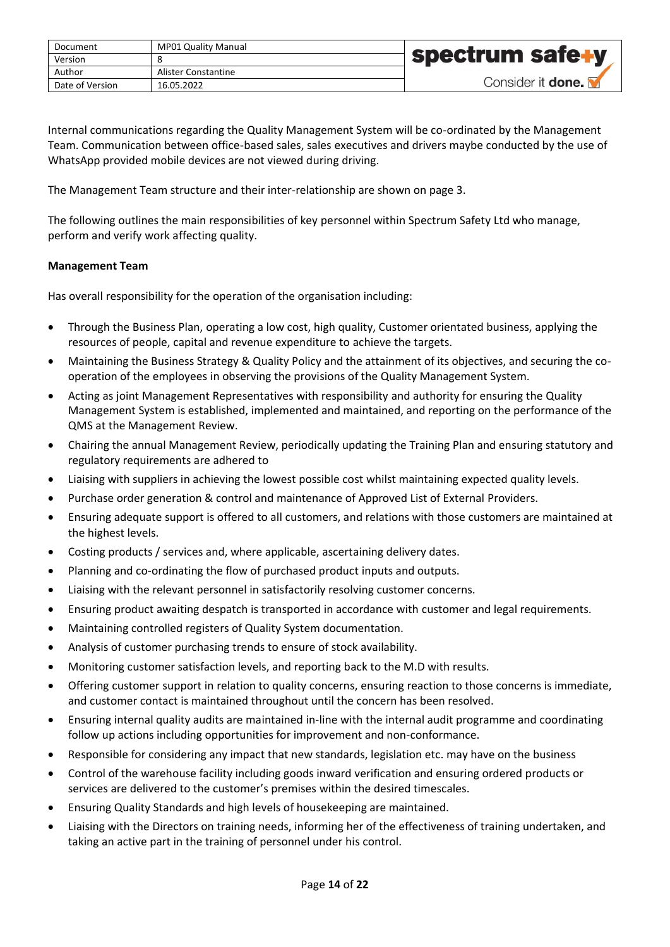| Document        | <b>MP01 Quality Manual</b> |                          |
|-----------------|----------------------------|--------------------------|
| Version         |                            | <b>spectrum safe+y</b>   |
| Author          | Alister Constantine        |                          |
| Date of Version | 16.05.2022                 | Consider it <b>done.</b> |

Internal communications regarding the Quality Management System will be co-ordinated by the Management Team. Communication between office-based sales, sales executives and drivers maybe conducted by the use of WhatsApp provided mobile devices are not viewed during driving.

The Management Team structure and their inter-relationship are shown on page 3.

The following outlines the main responsibilities of key personnel within Spectrum Safety Ltd who manage, perform and verify work affecting quality.

## <span id="page-13-0"></span>**Management Team**

Has overall responsibility for the operation of the organisation including:

- Through the Business Plan, operating a low cost, high quality, Customer orientated business, applying the resources of people, capital and revenue expenditure to achieve the targets.
- Maintaining the Business Strategy & Quality Policy and the attainment of its objectives, and securing the cooperation of the employees in observing the provisions of the Quality Management System.
- Acting as joint Management Representatives with responsibility and authority for ensuring the Quality Management System is established, implemented and maintained, and reporting on the performance of the QMS at the Management Review.
- Chairing the annual Management Review, periodically updating the Training Plan and ensuring statutory and regulatory requirements are adhered to
- Liaising with suppliers in achieving the lowest possible cost whilst maintaining expected quality levels.
- Purchase order generation & control and maintenance of Approved List of External Providers.
- Ensuring adequate support is offered to all customers, and relations with those customers are maintained at the highest levels.
- Costing products / services and, where applicable, ascertaining delivery dates.
- Planning and co-ordinating the flow of purchased product inputs and outputs.
- Liaising with the relevant personnel in satisfactorily resolving customer concerns.
- Ensuring product awaiting despatch is transported in accordance with customer and legal requirements.
- Maintaining controlled registers of Quality System documentation.
- Analysis of customer purchasing trends to ensure of stock availability.
- Monitoring customer satisfaction levels, and reporting back to the M.D with results.
- Offering customer support in relation to quality concerns, ensuring reaction to those concerns is immediate, and customer contact is maintained throughout until the concern has been resolved.
- Ensuring internal quality audits are maintained in-line with the internal audit programme and coordinating follow up actions including opportunities for improvement and non-conformance.
- Responsible for considering any impact that new standards, legislation etc. may have on the business
- Control of the warehouse facility including goods inward verification and ensuring ordered products or services are delivered to the customer's premises within the desired timescales.
- Ensuring Quality Standards and high levels of housekeeping are maintained.
- Liaising with the Directors on training needs, informing her of the effectiveness of training undertaken, and taking an active part in the training of personnel under his control.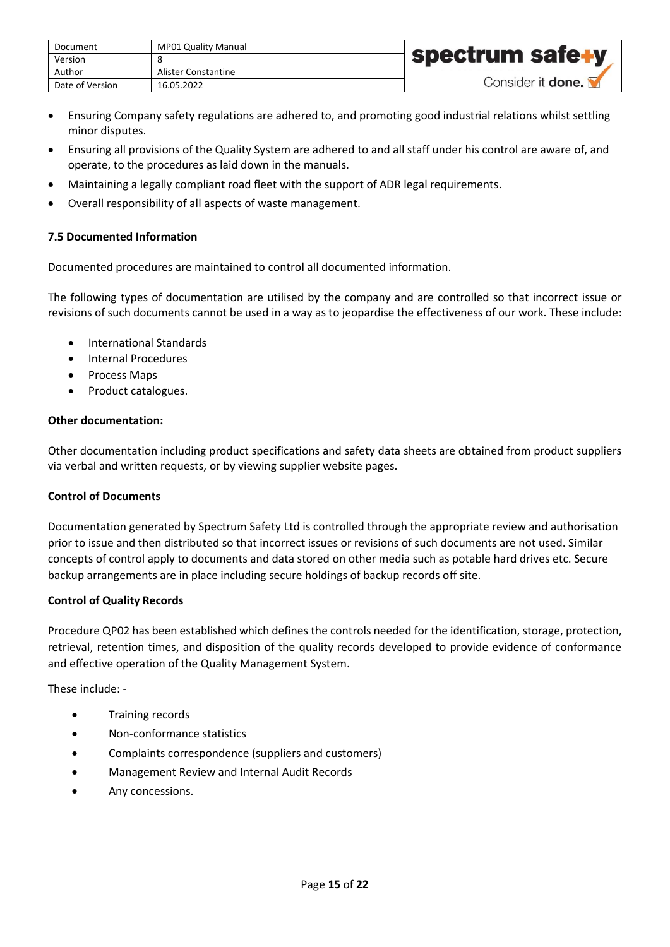| Document        | MP01 Quality Manual |                          |
|-----------------|---------------------|--------------------------|
| Version         |                     | spectrum safe+y          |
| Author          | Alister Constantine |                          |
| Date of Version | 16.05.2022          | Consider it <b>done.</b> |

- Ensuring Company safety regulations are adhered to, and promoting good industrial relations whilst settling minor disputes.
- Ensuring all provisions of the Quality System are adhered to and all staff under his control are aware of, and operate, to the procedures as laid down in the manuals.
- Maintaining a legally compliant road fleet with the support of ADR legal requirements.
- Overall responsibility of all aspects of waste management.

# <span id="page-14-0"></span>**7.5 Documented Information**

Documented procedures are maintained to control all documented information.

The following types of documentation are utilised by the company and are controlled so that incorrect issue or revisions of such documents cannot be used in a way as to jeopardise the effectiveness of our work. These include:

- International Standards
- Internal Procedures
- Process Maps
- Product catalogues.

# **Other documentation:**

Other documentation including product specifications and safety data sheets are obtained from product suppliers via verbal and written requests, or by viewing supplier website pages.

# **Control of Documents**

Documentation generated by Spectrum Safety Ltd is controlled through the appropriate review and authorisation prior to issue and then distributed so that incorrect issues or revisions of such documents are not used. Similar concepts of control apply to documents and data stored on other media such as potable hard drives etc. Secure backup arrangements are in place including secure holdings of backup records off site.

# **Control of Quality Records**

Procedure QP02 has been established which defines the controls needed for the identification, storage, protection, retrieval, retention times, and disposition of the quality records developed to provide evidence of conformance and effective operation of the Quality Management System.

These include: -

- Training records
- Non-conformance statistics
- Complaints correspondence (suppliers and customers)
- Management Review and Internal Audit Records
- Any concessions.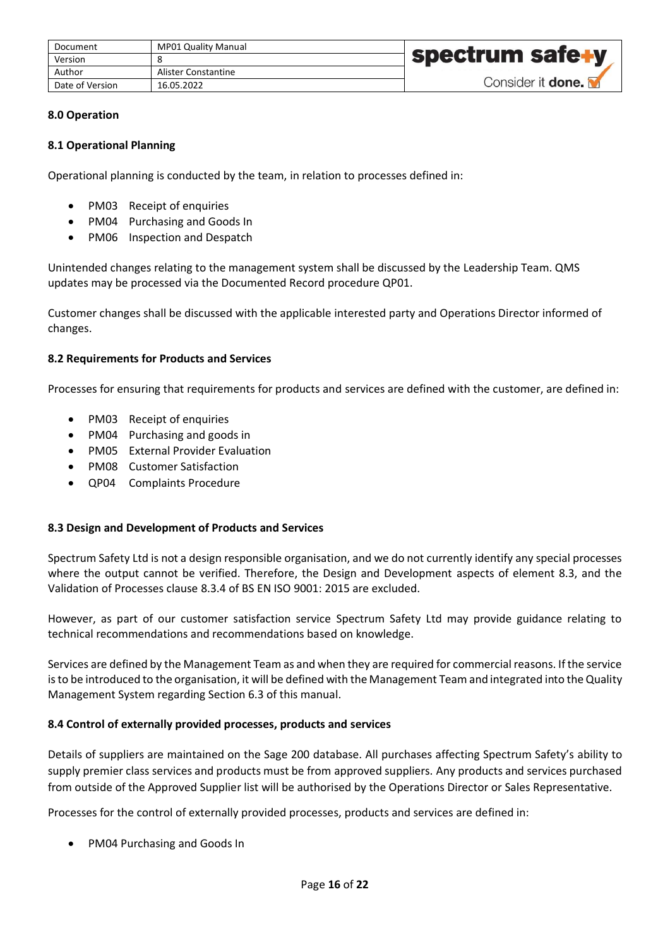| Document        | MP01 Quality Manual |                          |
|-----------------|---------------------|--------------------------|
| Version         |                     | <b>spectrum safe+y</b>   |
| Author          | Alister Constantine |                          |
| Date of Version | 16.05.2022          | Consider it <b>done.</b> |

## <span id="page-15-0"></span>**8.0 Operation**

## <span id="page-15-1"></span>**8.1 Operational Planning**

Operational planning is conducted by the team, in relation to processes defined in:

- PM03 Receipt of enquiries
- PM04 Purchasing and Goods In
- PM06 Inspection and Despatch

Unintended changes relating to the management system shall be discussed by the Leadership Team. QMS updates may be processed via the Documented Record procedure QP01.

Customer changes shall be discussed with the applicable interested party and Operations Director informed of changes.

#### <span id="page-15-2"></span>**8.2 Requirements for Products and Services**

Processes for ensuring that requirements for products and services are defined with the customer, are defined in:

- PM03 Receipt of enquiries
- PM04 Purchasing and goods in
- PM05 External Provider Evaluation
- PM08 Customer Satisfaction
- QP04 Complaints Procedure

#### <span id="page-15-3"></span>**8.3 Design and Development of Products and Services**

Spectrum Safety Ltd is not a design responsible organisation, and we do not currently identify any special processes where the output cannot be verified. Therefore, the Design and Development aspects of element 8.3, and the Validation of Processes clause 8.3.4 of BS EN ISO 9001: 2015 are excluded.

However, as part of our customer satisfaction service Spectrum Safety Ltd may provide guidance relating to technical recommendations and recommendations based on knowledge.

Services are defined by the Management Team as and when they are required for commercial reasons. If the service is to be introduced to the organisation, it will be defined with the Management Team and integrated into the Quality Management System regarding Section 6.3 of this manual.

#### <span id="page-15-4"></span>**8.4 Control of externally provided processes, products and services**

Details of suppliers are maintained on the Sage 200 database. All purchases affecting Spectrum Safety's ability to supply premier class services and products must be from approved suppliers. Any products and services purchased from outside of the Approved Supplier list will be authorised by the Operations Director or Sales Representative.

Processes for the control of externally provided processes, products and services are defined in:

• PM04 Purchasing and Goods In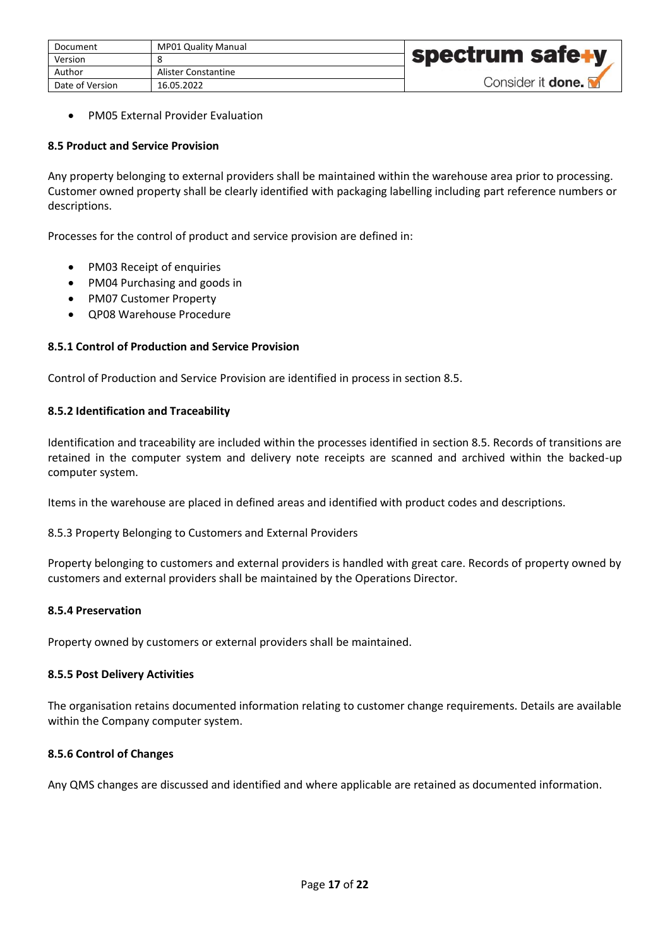| Document        | <b>MP01 Quality Manual</b> |                          |
|-----------------|----------------------------|--------------------------|
| Version         |                            | spectrum safe+y          |
| Author          | Alister Constantine        |                          |
| Date of Version | 16.05.2022                 | Consider it <b>done.</b> |

• PM05 External Provider Evaluation

## <span id="page-16-0"></span>**8.5 Product and Service Provision**

Any property belonging to external providers shall be maintained within the warehouse area prior to processing. Customer owned property shall be clearly identified with packaging labelling including part reference numbers or descriptions.

Processes for the control of product and service provision are defined in:

- PM03 Receipt of enquiries
- PM04 Purchasing and goods in
- PM07 Customer Property
- QP08 Warehouse Procedure

# <span id="page-16-1"></span>**8.5.1 Control of Production and Service Provision**

Control of Production and Service Provision are identified in process in section 8.5.

## <span id="page-16-2"></span>**8.5.2 Identification and Traceability**

Identification and traceability are included within the processes identified in section 8.5. Records of transitions are retained in the computer system and delivery note receipts are scanned and archived within the backed-up computer system.

Items in the warehouse are placed in defined areas and identified with product codes and descriptions.

8.5.3 Property Belonging to Customers and External Providers

Property belonging to customers and external providers is handled with great care. Records of property owned by customers and external providers shall be maintained by the Operations Director.

## <span id="page-16-3"></span>**8.5.4 Preservation**

Property owned by customers or external providers shall be maintained.

#### <span id="page-16-4"></span>**8.5.5 Post Delivery Activities**

The organisation retains documented information relating to customer change requirements. Details are available within the Company computer system.

#### <span id="page-16-5"></span>**8.5.6 Control of Changes**

Any QMS changes are discussed and identified and where applicable are retained as documented information.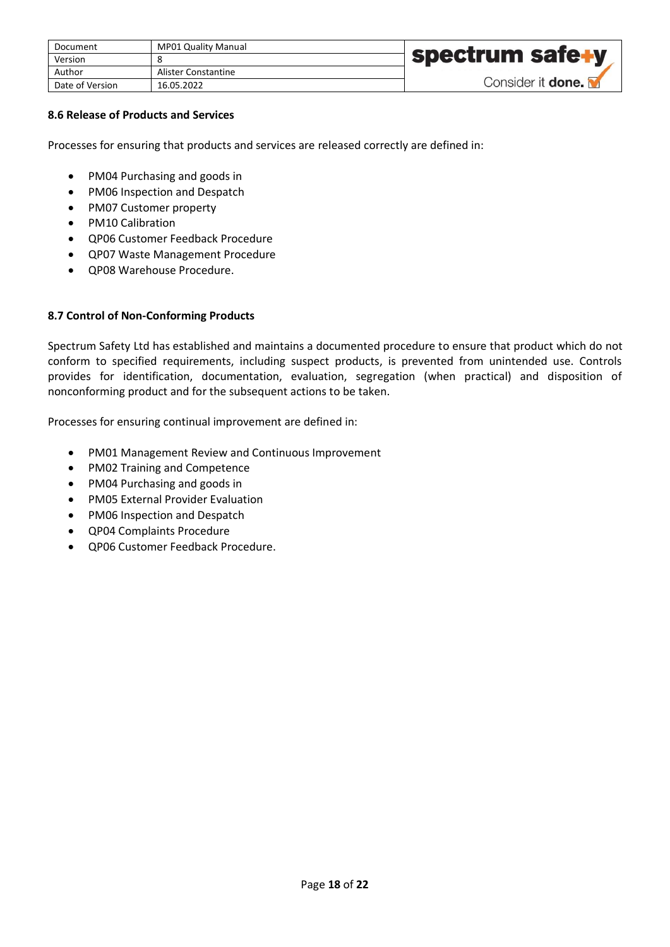| Document        | <b>MP01 Quality Manual</b> |                          |
|-----------------|----------------------------|--------------------------|
| Version         |                            | <b>spectrum safe+y</b>   |
| Author          | Alister Constantine        |                          |
| Date of Version | 16.05.2022                 | Consider it <b>done.</b> |

## <span id="page-17-0"></span>**8.6 Release of Products and Services**

Processes for ensuring that products and services are released correctly are defined in:

- PM04 Purchasing and goods in
- PM06 Inspection and Despatch
- PM07 Customer property
- PM10 Calibration
- QP06 Customer Feedback Procedure
- QP07 Waste Management Procedure
- QP08 Warehouse Procedure.

## <span id="page-17-1"></span>**8.7 Control of Non-Conforming Products**

Spectrum Safety Ltd has established and maintains a documented procedure to ensure that product which do not conform to specified requirements, including suspect products, is prevented from unintended use. Controls provides for identification, documentation, evaluation, segregation (when practical) and disposition of nonconforming product and for the subsequent actions to be taken.

Processes for ensuring continual improvement are defined in:

- PM01 Management Review and Continuous Improvement
- PM02 Training and Competence
- PM04 Purchasing and goods in
- PM05 External Provider Evaluation
- PM06 Inspection and Despatch
- QP04 Complaints Procedure
- QP06 Customer Feedback Procedure.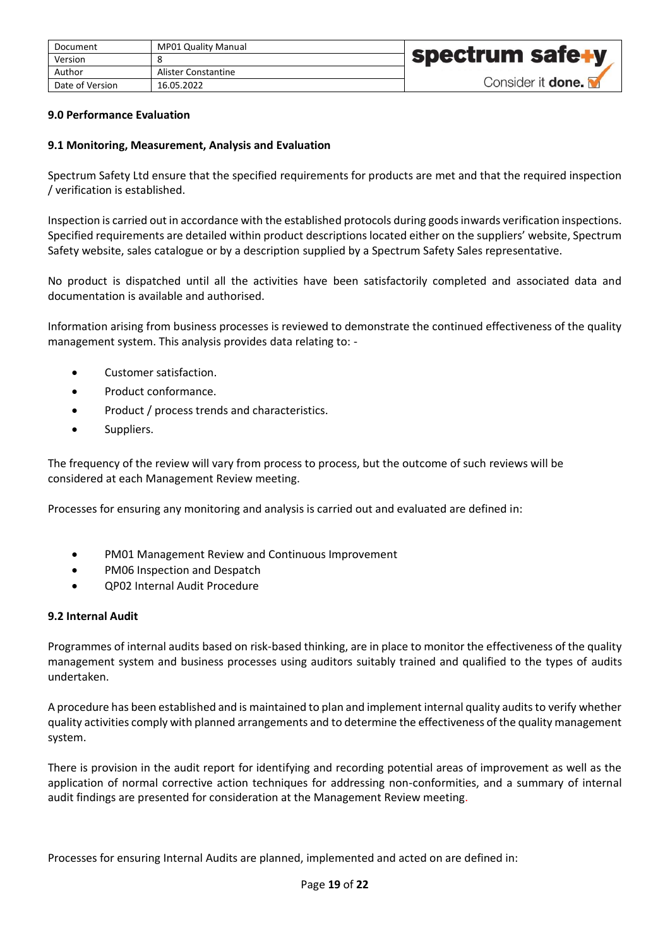| Document        | <b>MP01 Quality Manual</b> |                          |
|-----------------|----------------------------|--------------------------|
| Version         |                            | <b>spectrum safe+y</b>   |
| Author          | Alister Constantine        |                          |
| Date of Version | 16.05.2022                 | Consider it <b>done.</b> |

#### <span id="page-18-0"></span>**9.0 Performance Evaluation**

#### <span id="page-18-1"></span>**9.1 Monitoring, Measurement, Analysis and Evaluation**

Spectrum Safety Ltd ensure that the specified requirements for products are met and that the required inspection / verification is established.

Inspection is carried out in accordance with the established protocols during goods inwards verification inspections. Specified requirements are detailed within product descriptions located either on the suppliers' website, Spectrum Safety website, sales catalogue or by a description supplied by a Spectrum Safety Sales representative.

No product is dispatched until all the activities have been satisfactorily completed and associated data and documentation is available and authorised.

Information arising from business processes is reviewed to demonstrate the continued effectiveness of the quality management system. This analysis provides data relating to: -

- Customer satisfaction.
- Product conformance.
- Product / process trends and characteristics.
- Suppliers.

The frequency of the review will vary from process to process, but the outcome of such reviews will be considered at each Management Review meeting.

Processes for ensuring any monitoring and analysis is carried out and evaluated are defined in:

- PM01 Management Review and Continuous Improvement
- PM06 Inspection and Despatch
- QP02 Internal Audit Procedure

#### <span id="page-18-2"></span>**9.2 Internal Audit**

Programmes of internal audits based on risk-based thinking, are in place to monitor the effectiveness of the quality management system and business processes using auditors suitably trained and qualified to the types of audits undertaken.

A procedure has been established and is maintained to plan and implement internal quality audits to verify whether quality activities comply with planned arrangements and to determine the effectiveness of the quality management system.

There is provision in the audit report for identifying and recording potential areas of improvement as well as the application of normal corrective action techniques for addressing non-conformities, and a summary of internal audit findings are presented for consideration at the Management Review meeting.

Processes for ensuring Internal Audits are planned, implemented and acted on are defined in: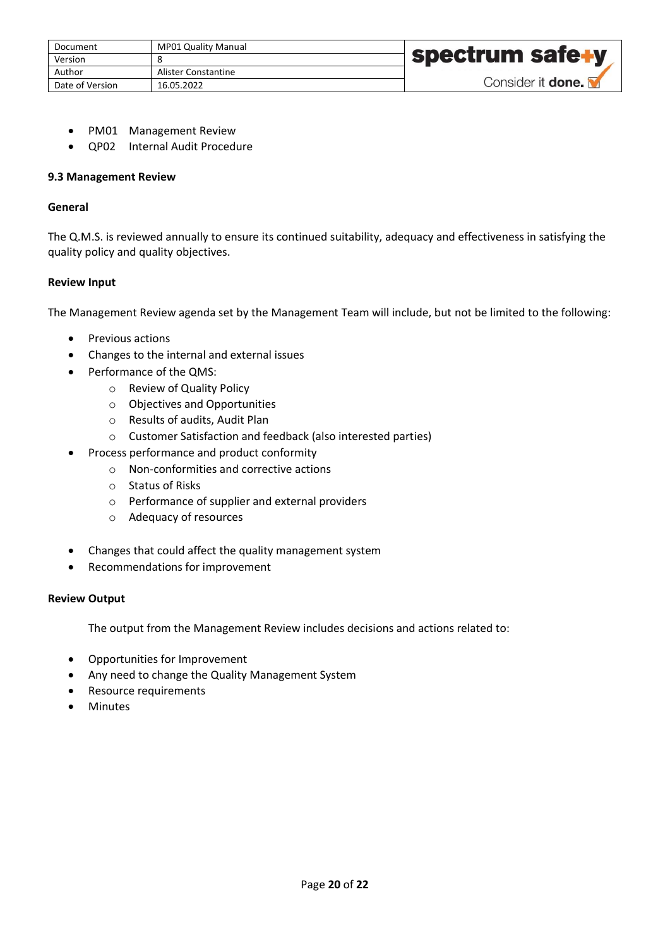| Document        | <b>MP01 Quality Manual</b> |                          |
|-----------------|----------------------------|--------------------------|
| Version         |                            | † spectrum safe∔y        |
| Author          | Alister Constantine        |                          |
| Date of Version | 16.05.2022                 | Consider it <b>done.</b> |

- PM01 Management Review
- QP02 Internal Audit Procedure

#### <span id="page-19-0"></span>**9.3 Management Review**

## **General**

The Q.M.S. is reviewed annually to ensure its continued suitability, adequacy and effectiveness in satisfying the quality policy and quality objectives.

## **Review Input**

The Management Review agenda set by the Management Team will include, but not be limited to the following:

- Previous actions
- Changes to the internal and external issues
- Performance of the QMS:
	- o Review of Quality Policy
	- o Objectives and Opportunities
	- o Results of audits, Audit Plan
	- o Customer Satisfaction and feedback (also interested parties)
- Process performance and product conformity
	- o Non-conformities and corrective actions
	- o Status of Risks
	- o Performance of supplier and external providers
	- o Adequacy of resources
- Changes that could affect the quality management system
- Recommendations for improvement

#### **Review Output**

The output from the Management Review includes decisions and actions related to:

- Opportunities for Improvement
- Any need to change the Quality Management System
- Resource requirements
- **Minutes**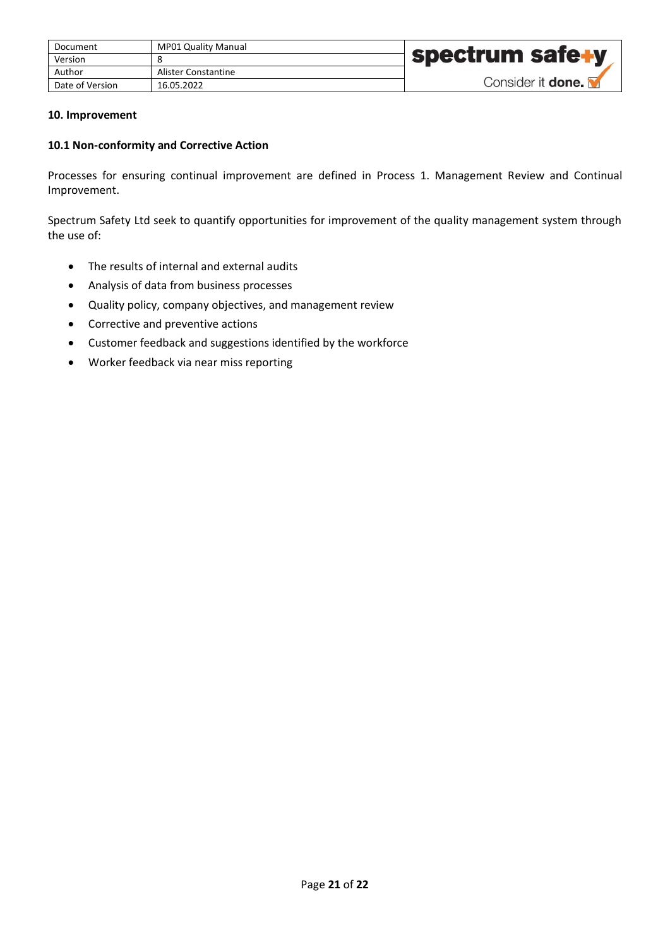| Document        | <b>MP01 Quality Manual</b> |                          |
|-----------------|----------------------------|--------------------------|
| Version         |                            | spectrum safe+y          |
| Author          | Alister Constantine        |                          |
| Date of Version | 16.05.2022                 | Consider it <b>done.</b> |

#### <span id="page-20-0"></span>**10. Improvement**

#### <span id="page-20-1"></span>**10.1 Non-conformity and Corrective Action**

Processes for ensuring continual improvement are defined in Process 1. Management Review and Continual Improvement.

Spectrum Safety Ltd seek to quantify opportunities for improvement of the quality management system through the use of:

- The results of internal and external audits
- Analysis of data from business processes
- Quality policy, company objectives, and management review
- Corrective and preventive actions
- Customer feedback and suggestions identified by the workforce
- Worker feedback via near miss reporting